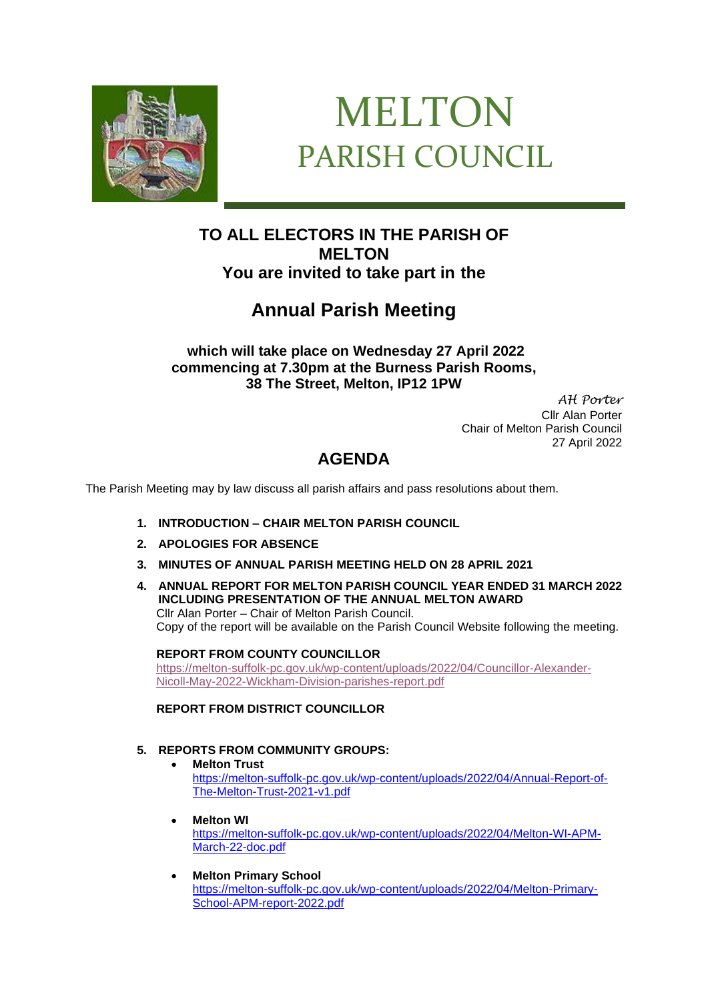

# MELTON PARISH COUNCIL

### **TO ALL ELECTORS IN THE PARISH OF MELTON You are invited to take part in the**

## **Annual Parish Meeting**

**which will take place on Wednesday 27 April 2022 commencing at 7.30pm at the Burness Parish Rooms, 38 The Street, Melton, IP12 1PW**

> *AH Porter* Cllr Alan Porter Chair of Melton Parish Council 27 April 2022

## **AGENDA**

The Parish Meeting may by law discuss all parish affairs and pass resolutions about them.

- **1. INTRODUCTION – CHAIR MELTON PARISH COUNCIL**
- **2. APOLOGIES FOR ABSENCE**
- **3. MINUTES OF ANNUAL PARISH MEETING HELD ON 28 APRIL 2021**
- **4. ANNUAL REPORT FOR MELTON PARISH COUNCIL YEAR ENDED 31 MARCH 2022 INCLUDING PRESENTATION OF THE ANNUAL MELTON AWARD** Cllr Alan Porter – Chair of Melton Parish Council. Copy of the report will be available on the Parish Council Website following the meeting.

#### **REPORT FROM COUNTY COUNCILLOR**

[https://melton-suffolk-pc.gov.uk/wp-content/uploads/2022/04/Councillor-Alexander-](https://melton-suffolk-pc.gov.uk/wp-content/uploads/2022/04/Councillor-Alexander-Nicoll-May-2022-Wickham-Division-parishes-report.pdf)[Nicoll-May-2022-Wickham-Division-parishes-report.pdf](https://melton-suffolk-pc.gov.uk/wp-content/uploads/2022/04/Councillor-Alexander-Nicoll-May-2022-Wickham-Division-parishes-report.pdf)

**REPORT FROM DISTRICT COUNCILLOR**

#### **5. REPORTS FROM COMMUNITY GROUPS:**

#### • **Melton Trust**

[https://melton-suffolk-pc.gov.uk/wp-content/uploads/2022/04/Annual-Report-of-](https://melton-suffolk-pc.gov.uk/wp-content/uploads/2022/04/Annual-Report-of-The-Melton-Trust-2021-v1.pdf)[The-Melton-Trust-2021-v1.pdf](https://melton-suffolk-pc.gov.uk/wp-content/uploads/2022/04/Annual-Report-of-The-Melton-Trust-2021-v1.pdf)

- **Melton WI** [https://melton-suffolk-pc.gov.uk/wp-content/uploads/2022/04/Melton-WI-APM-](https://melton-suffolk-pc.gov.uk/wp-content/uploads/2022/04/Melton-WI-APM-March-22-doc.pdf)[March-22-doc.pdf](https://melton-suffolk-pc.gov.uk/wp-content/uploads/2022/04/Melton-WI-APM-March-22-doc.pdf)
- **Melton Primary School** [https://melton-suffolk-pc.gov.uk/wp-content/uploads/2022/04/Melton-Primary-](https://melton-suffolk-pc.gov.uk/wp-content/uploads/2022/04/Melton-Primary-School-APM-report-2022.pdf)[School-APM-report-2022.pdf](https://melton-suffolk-pc.gov.uk/wp-content/uploads/2022/04/Melton-Primary-School-APM-report-2022.pdf)